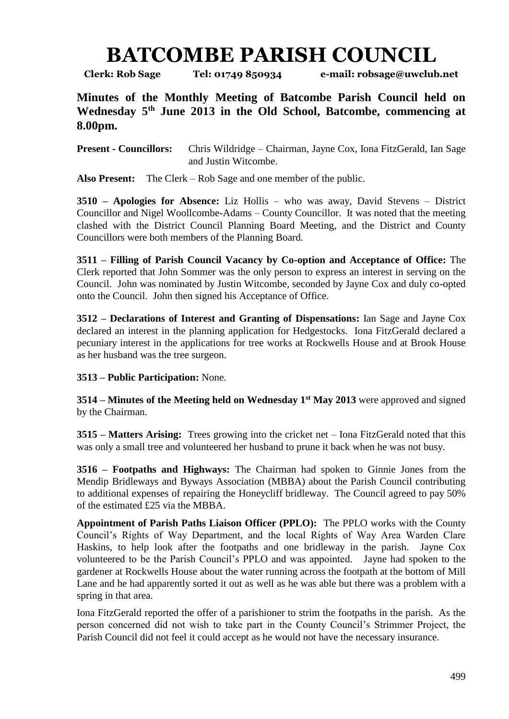## **BATCOMBE PARISH COUNCIL**

**Clerk: Rob Sage Tel: 01749 850934 e-mail: robsage@uwclub.net**

**Minutes of the Monthly Meeting of Batcombe Parish Council held on Wednesday 5 th June 2013 in the Old School, Batcombe, commencing at 8.00pm.**

**Present - Councillors:** Chris Wildridge – Chairman, Jayne Cox, Iona FitzGerald, Ian Sage and Justin Witcombe.

**Also Present:** The Clerk – Rob Sage and one member of the public.

**3510 – Apologies for Absence:** Liz Hollis – who was away, David Stevens – District Councillor and Nigel Woollcombe-Adams – County Councillor. It was noted that the meeting clashed with the District Council Planning Board Meeting, and the District and County Councillors were both members of the Planning Board.

**3511 – Filling of Parish Council Vacancy by Co-option and Acceptance of Office:** The Clerk reported that John Sommer was the only person to express an interest in serving on the Council. John was nominated by Justin Witcombe, seconded by Jayne Cox and duly co-opted onto the Council. John then signed his Acceptance of Office.

**3512 – Declarations of Interest and Granting of Dispensations:** Ian Sage and Jayne Cox declared an interest in the planning application for Hedgestocks. Iona FitzGerald declared a pecuniary interest in the applications for tree works at Rockwells House and at Brook House as her husband was the tree surgeon.

## **3513 – Public Participation:** None.

**3514 – Minutes of the Meeting held on Wednesday 1st May 2013** were approved and signed by the Chairman.

**3515 – Matters Arising:** Trees growing into the cricket net – Iona FitzGerald noted that this was only a small tree and volunteered her husband to prune it back when he was not busy.

**3516 – Footpaths and Highways:** The Chairman had spoken to Ginnie Jones from the Mendip Bridleways and Byways Association (MBBA) about the Parish Council contributing to additional expenses of repairing the Honeycliff bridleway. The Council agreed to pay 50% of the estimated £25 via the MBBA.

**Appointment of Parish Paths Liaison Officer (PPLO):** The PPLO works with the County Council's Rights of Way Department, and the local Rights of Way Area Warden Clare Haskins, to help look after the footpaths and one bridleway in the parish. Jayne Cox volunteered to be the Parish Council's PPLO and was appointed. Jayne had spoken to the gardener at Rockwells House about the water running across the footpath at the bottom of Mill Lane and he had apparently sorted it out as well as he was able but there was a problem with a spring in that area.

Iona FitzGerald reported the offer of a parishioner to strim the footpaths in the parish. As the person concerned did not wish to take part in the County Council's Strimmer Project, the Parish Council did not feel it could accept as he would not have the necessary insurance.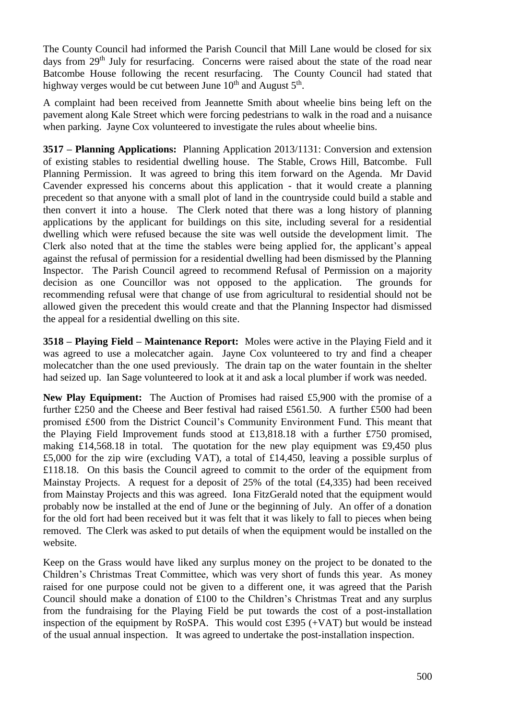The County Council had informed the Parish Council that Mill Lane would be closed for six days from 29<sup>th</sup> July for resurfacing. Concerns were raised about the state of the road near Batcombe House following the recent resurfacing. The County Council had stated that highway verges would be cut between June  $10^{\text{th}}$  and August  $5^{\text{th}}$ .

A complaint had been received from Jeannette Smith about wheelie bins being left on the pavement along Kale Street which were forcing pedestrians to walk in the road and a nuisance when parking. Jayne Cox volunteered to investigate the rules about wheelie bins.

**3517 – Planning Applications:** Planning Application 2013/1131: Conversion and extension of existing stables to residential dwelling house. The Stable, Crows Hill, Batcombe. Full Planning Permission. It was agreed to bring this item forward on the Agenda. Mr David Cavender expressed his concerns about this application - that it would create a planning precedent so that anyone with a small plot of land in the countryside could build a stable and then convert it into a house. The Clerk noted that there was a long history of planning applications by the applicant for buildings on this site, including several for a residential dwelling which were refused because the site was well outside the development limit. The Clerk also noted that at the time the stables were being applied for, the applicant's appeal against the refusal of permission for a residential dwelling had been dismissed by the Planning Inspector. The Parish Council agreed to recommend Refusal of Permission on a majority decision as one Councillor was not opposed to the application. The grounds for recommending refusal were that change of use from agricultural to residential should not be allowed given the precedent this would create and that the Planning Inspector had dismissed the appeal for a residential dwelling on this site.

**3518 – Playing Field – Maintenance Report:** Moles were active in the Playing Field and it was agreed to use a molecatcher again. Jayne Cox volunteered to try and find a cheaper molecatcher than the one used previously. The drain tap on the water fountain in the shelter had seized up. Ian Sage volunteered to look at it and ask a local plumber if work was needed.

**New Play Equipment:** The Auction of Promises had raised £5,900 with the promise of a further £250 and the Cheese and Beer festival had raised £561.50. A further £500 had been promised £500 from the District Council's Community Environment Fund. This meant that the Playing Field Improvement funds stood at £13,818.18 with a further £750 promised, making  $£14,568.18$  in total. The quotation for the new play equipment was £9,450 plus £5,000 for the zip wire (excluding VAT), a total of £14,450, leaving a possible surplus of £118.18. On this basis the Council agreed to commit to the order of the equipment from Mainstay Projects. A request for a deposit of 25% of the total (£4,335) had been received from Mainstay Projects and this was agreed. Iona FitzGerald noted that the equipment would probably now be installed at the end of June or the beginning of July. An offer of a donation for the old fort had been received but it was felt that it was likely to fall to pieces when being removed. The Clerk was asked to put details of when the equipment would be installed on the website.

Keep on the Grass would have liked any surplus money on the project to be donated to the Children's Christmas Treat Committee, which was very short of funds this year. As money raised for one purpose could not be given to a different one, it was agreed that the Parish Council should make a donation of £100 to the Children's Christmas Treat and any surplus from the fundraising for the Playing Field be put towards the cost of a post-installation inspection of the equipment by RoSPA. This would cost £395 (+VAT) but would be instead of the usual annual inspection. It was agreed to undertake the post-installation inspection.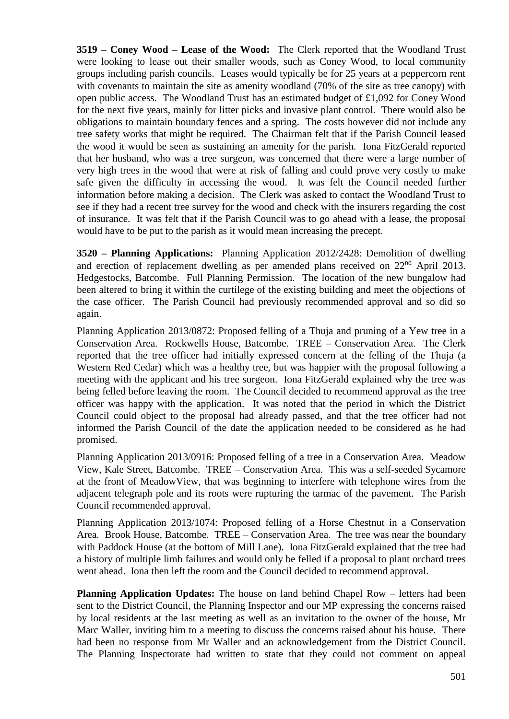**3519 – Coney Wood – Lease of the Wood:** The Clerk reported that the Woodland Trust were looking to lease out their smaller woods, such as Coney Wood, to local community groups including parish councils. Leases would typically be for 25 years at a peppercorn rent with covenants to maintain the site as amenity woodland (70% of the site as tree canopy) with open public access. The Woodland Trust has an estimated budget of £1,092 for Coney Wood for the next five years, mainly for litter picks and invasive plant control. There would also be obligations to maintain boundary fences and a spring. The costs however did not include any tree safety works that might be required. The Chairman felt that if the Parish Council leased the wood it would be seen as sustaining an amenity for the parish. Iona FitzGerald reported that her husband, who was a tree surgeon, was concerned that there were a large number of very high trees in the wood that were at risk of falling and could prove very costly to make safe given the difficulty in accessing the wood. It was felt the Council needed further information before making a decision. The Clerk was asked to contact the Woodland Trust to see if they had a recent tree survey for the wood and check with the insurers regarding the cost of insurance. It was felt that if the Parish Council was to go ahead with a lease, the proposal would have to be put to the parish as it would mean increasing the precept.

**3520 – Planning Applications:** Planning Application 2012/2428: Demolition of dwelling and erection of replacement dwelling as per amended plans received on 22nd April 2013. Hedgestocks, Batcombe. Full Planning Permission. The location of the new bungalow had been altered to bring it within the curtilege of the existing building and meet the objections of the case officer. The Parish Council had previously recommended approval and so did so again.

Planning Application 2013/0872: Proposed felling of a Thuja and pruning of a Yew tree in a Conservation Area. Rockwells House, Batcombe. TREE – Conservation Area. The Clerk reported that the tree officer had initially expressed concern at the felling of the Thuja (a Western Red Cedar) which was a healthy tree, but was happier with the proposal following a meeting with the applicant and his tree surgeon. Iona FitzGerald explained why the tree was being felled before leaving the room. The Council decided to recommend approval as the tree officer was happy with the application. It was noted that the period in which the District Council could object to the proposal had already passed, and that the tree officer had not informed the Parish Council of the date the application needed to be considered as he had promised.

Planning Application 2013/0916: Proposed felling of a tree in a Conservation Area. Meadow View, Kale Street, Batcombe. TREE – Conservation Area. This was a self-seeded Sycamore at the front of MeadowView, that was beginning to interfere with telephone wires from the adjacent telegraph pole and its roots were rupturing the tarmac of the pavement. The Parish Council recommended approval.

Planning Application 2013/1074: Proposed felling of a Horse Chestnut in a Conservation Area. Brook House, Batcombe. TREE – Conservation Area. The tree was near the boundary with Paddock House (at the bottom of Mill Lane). Iona FitzGerald explained that the tree had a history of multiple limb failures and would only be felled if a proposal to plant orchard trees went ahead. Iona then left the room and the Council decided to recommend approval.

**Planning Application Updates:** The house on land behind Chapel Row – letters had been sent to the District Council, the Planning Inspector and our MP expressing the concerns raised by local residents at the last meeting as well as an invitation to the owner of the house, Mr Marc Waller, inviting him to a meeting to discuss the concerns raised about his house. There had been no response from Mr Waller and an acknowledgement from the District Council. The Planning Inspectorate had written to state that they could not comment on appeal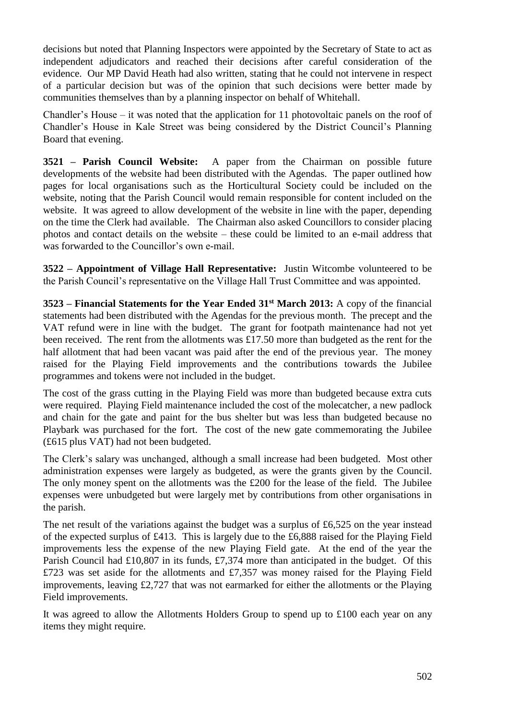decisions but noted that Planning Inspectors were appointed by the Secretary of State to act as independent adjudicators and reached their decisions after careful consideration of the evidence. Our MP David Heath had also written, stating that he could not intervene in respect of a particular decision but was of the opinion that such decisions were better made by communities themselves than by a planning inspector on behalf of Whitehall.

Chandler's House – it was noted that the application for 11 photovoltaic panels on the roof of Chandler's House in Kale Street was being considered by the District Council's Planning Board that evening.

**3521 – Parish Council Website:** A paper from the Chairman on possible future developments of the website had been distributed with the Agendas. The paper outlined how pages for local organisations such as the Horticultural Society could be included on the website, noting that the Parish Council would remain responsible for content included on the website. It was agreed to allow development of the website in line with the paper, depending on the time the Clerk had available. The Chairman also asked Councillors to consider placing photos and contact details on the website – these could be limited to an e-mail address that was forwarded to the Councillor's own e-mail.

**3522 – Appointment of Village Hall Representative:** Justin Witcombe volunteered to be the Parish Council's representative on the Village Hall Trust Committee and was appointed.

**3523 – Financial Statements for the Year Ended 31st March 2013:** A copy of the financial statements had been distributed with the Agendas for the previous month. The precept and the VAT refund were in line with the budget. The grant for footpath maintenance had not yet been received. The rent from the allotments was £17.50 more than budgeted as the rent for the half allotment that had been vacant was paid after the end of the previous year. The money raised for the Playing Field improvements and the contributions towards the Jubilee programmes and tokens were not included in the budget.

The cost of the grass cutting in the Playing Field was more than budgeted because extra cuts were required. Playing Field maintenance included the cost of the molecatcher, a new padlock and chain for the gate and paint for the bus shelter but was less than budgeted because no Playbark was purchased for the fort. The cost of the new gate commemorating the Jubilee (£615 plus VAT) had not been budgeted.

The Clerk's salary was unchanged, although a small increase had been budgeted. Most other administration expenses were largely as budgeted, as were the grants given by the Council. The only money spent on the allotments was the £200 for the lease of the field. The Jubilee expenses were unbudgeted but were largely met by contributions from other organisations in the parish.

The net result of the variations against the budget was a surplus of £6,525 on the year instead of the expected surplus of £413. This is largely due to the £6,888 raised for the Playing Field improvements less the expense of the new Playing Field gate. At the end of the year the Parish Council had £10,807 in its funds, £7,374 more than anticipated in the budget. Of this £723 was set aside for the allotments and £7,357 was money raised for the Playing Field improvements, leaving £2,727 that was not earmarked for either the allotments or the Playing Field improvements.

It was agreed to allow the Allotments Holders Group to spend up to £100 each year on any items they might require.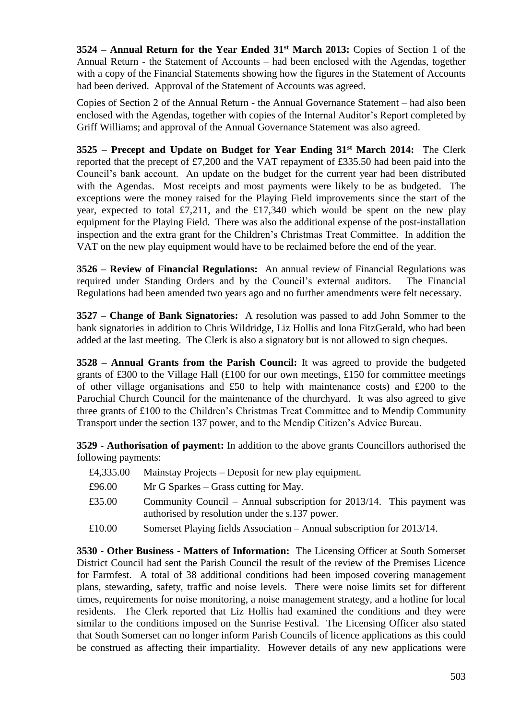**3524 – Annual Return for the Year Ended 31st March 2013:** Copies of Section 1 of the Annual Return - the Statement of Accounts – had been enclosed with the Agendas, together with a copy of the Financial Statements showing how the figures in the Statement of Accounts had been derived. Approval of the Statement of Accounts was agreed.

Copies of Section 2 of the Annual Return - the Annual Governance Statement – had also been enclosed with the Agendas, together with copies of the Internal Auditor's Report completed by Griff Williams; and approval of the Annual Governance Statement was also agreed.

**3525 – Precept and Update on Budget for Year Ending 31st March 2014:** The Clerk reported that the precept of £7,200 and the VAT repayment of £335.50 had been paid into the Council's bank account. An update on the budget for the current year had been distributed with the Agendas. Most receipts and most payments were likely to be as budgeted. The exceptions were the money raised for the Playing Field improvements since the start of the year, expected to total £7,211, and the £17,340 which would be spent on the new play equipment for the Playing Field. There was also the additional expense of the post-installation inspection and the extra grant for the Children's Christmas Treat Committee. In addition the VAT on the new play equipment would have to be reclaimed before the end of the year.

**3526 – Review of Financial Regulations:** An annual review of Financial Regulations was required under Standing Orders and by the Council's external auditors. The Financial Regulations had been amended two years ago and no further amendments were felt necessary.

**3527 – Change of Bank Signatories:** A resolution was passed to add John Sommer to the bank signatories in addition to Chris Wildridge, Liz Hollis and Iona FitzGerald, who had been added at the last meeting. The Clerk is also a signatory but is not allowed to sign cheques.

**3528 – Annual Grants from the Parish Council:** It was agreed to provide the budgeted grants of £300 to the Village Hall (£100 for our own meetings, £150 for committee meetings of other village organisations and £50 to help with maintenance costs) and £200 to the Parochial Church Council for the maintenance of the churchyard. It was also agreed to give three grants of £100 to the Children's Christmas Treat Committee and to Mendip Community Transport under the section 137 power, and to the Mendip Citizen's Advice Bureau.

**3529 - Authorisation of payment:** In addition to the above grants Councillors authorised the following payments:

| £4,335.00 | Mainstay Projects – Deposit for new play equipment.                                                                      |
|-----------|--------------------------------------------------------------------------------------------------------------------------|
| £96.00    | $Mr G$ Sparkes – Grass cutting for May.                                                                                  |
| £35.00    | Community Council – Annual subscription for 2013/14. This payment was<br>authorised by resolution under the s.137 power. |
| £10.00    | Somerset Playing fields Association – Annual subscription for 2013/14.                                                   |

**3530 - Other Business - Matters of Information:** The Licensing Officer at South Somerset District Council had sent the Parish Council the result of the review of the Premises Licence for Farmfest. A total of 38 additional conditions had been imposed covering management plans, stewarding, safety, traffic and noise levels. There were noise limits set for different times, requirements for noise monitoring, a noise management strategy, and a hotline for local residents. The Clerk reported that Liz Hollis had examined the conditions and they were similar to the conditions imposed on the Sunrise Festival. The Licensing Officer also stated that South Somerset can no longer inform Parish Councils of licence applications as this could be construed as affecting their impartiality. However details of any new applications were